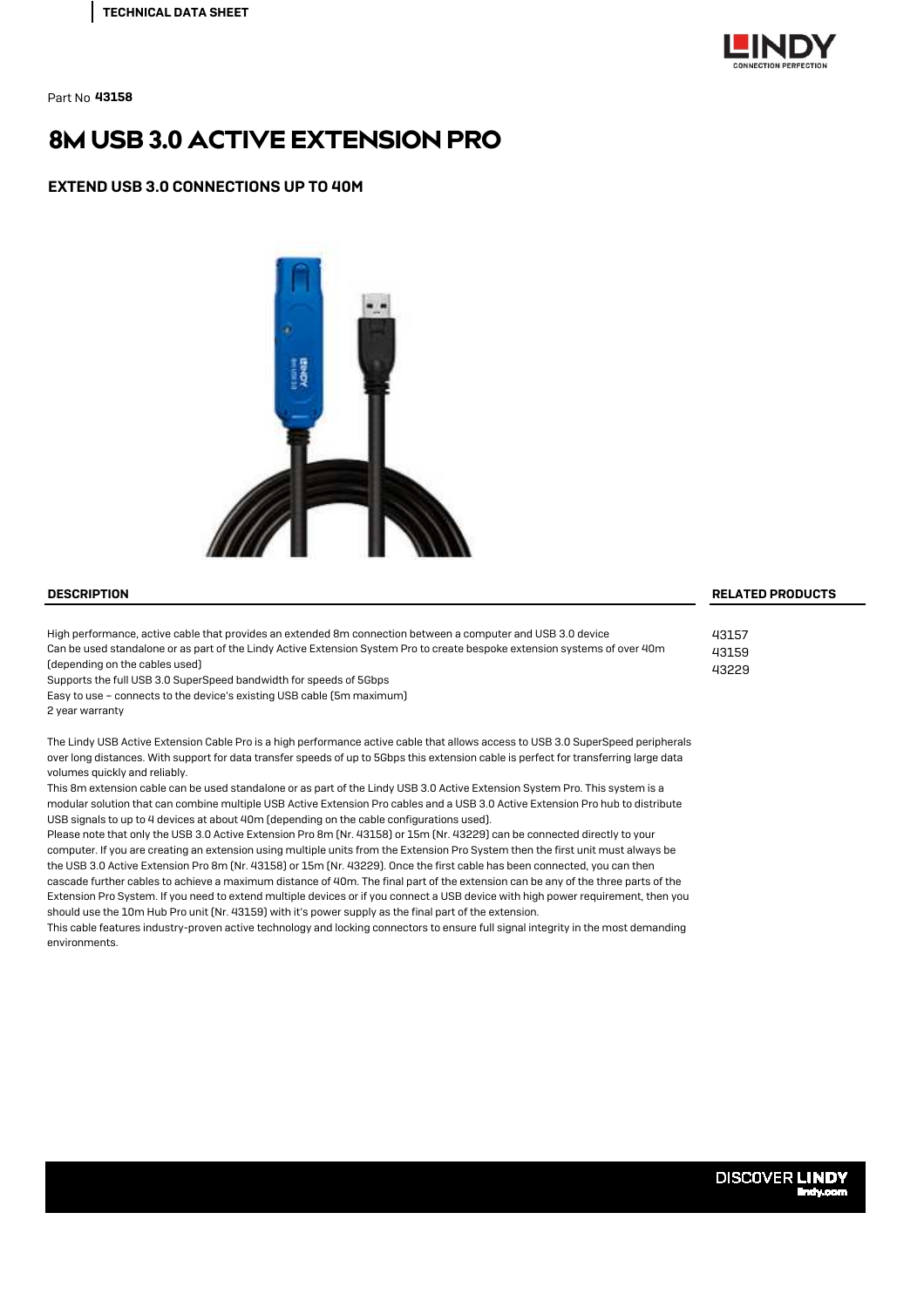

Part No.43158

# 8M USB 3.0 ACTIVE EXTENSION PRO

EXTEND USB 3.0 CONNECTIONS UP TO 40M



High performance, active cable that provides an extended 8m connection between a computer and USB 3.0 device Can be used standalone or as part of the Lindy Active Extension System Pro to create bespoke extension systems of over 40m (depending on the cables used)

Supports the full USB 3.0 SuperSpeed bandwidth for speeds of 5Gbps

Easy to use – connects to the device's existing USB cable (5m maximum)

2 year warranty

The Lindy USB Active Extension Cable Pro is a high performance active cable that allows access to USB 3.0 SuperSpeed peripherals over long distances. With support for data transfer speeds of up to 5Gbps this extension cable is perfect for transferring large data volumes quickly and reliably.

This 8m extension cable can be used standalone or as part of the Lindy USB 3.0 Active Extension System Pro. This system is a modular solution that can combine multiple USB Active Extension Pro cables and a USB 3.0 Active Extension Pro hub to distribute USB signals to up to 4 devices at about 40m (depending on the cable configurations used).

Please note that only the USB 3.0 Active Extension Pro 8m (Nr. 43158) or 15m (Nr. 43229) can be connected directly to your computer. If you are creating an extension using multiple units from the Extension Pro System then the first unit must always be the USB 3.0 Active Extension Pro 8m (Nr. 43158) or 15m (Nr. 43229). Once the first cable has been connected, you can then cascade further cables to achieve a maximum distance of 40m. The final part of the extension can be any of the three parts of the Extension Pro System. If you need to extend multiple devices or if you connect a USB device with high power requirement, then you should use the 10m Hub Pro unit (Nr. 43159) with it's power supply as the final part of the extension.

This cable features industry-proven active technology and locking connectors to ensure full signal integrity in the most demanding environments.

### DESCRIPTION RELATED PRODUCTS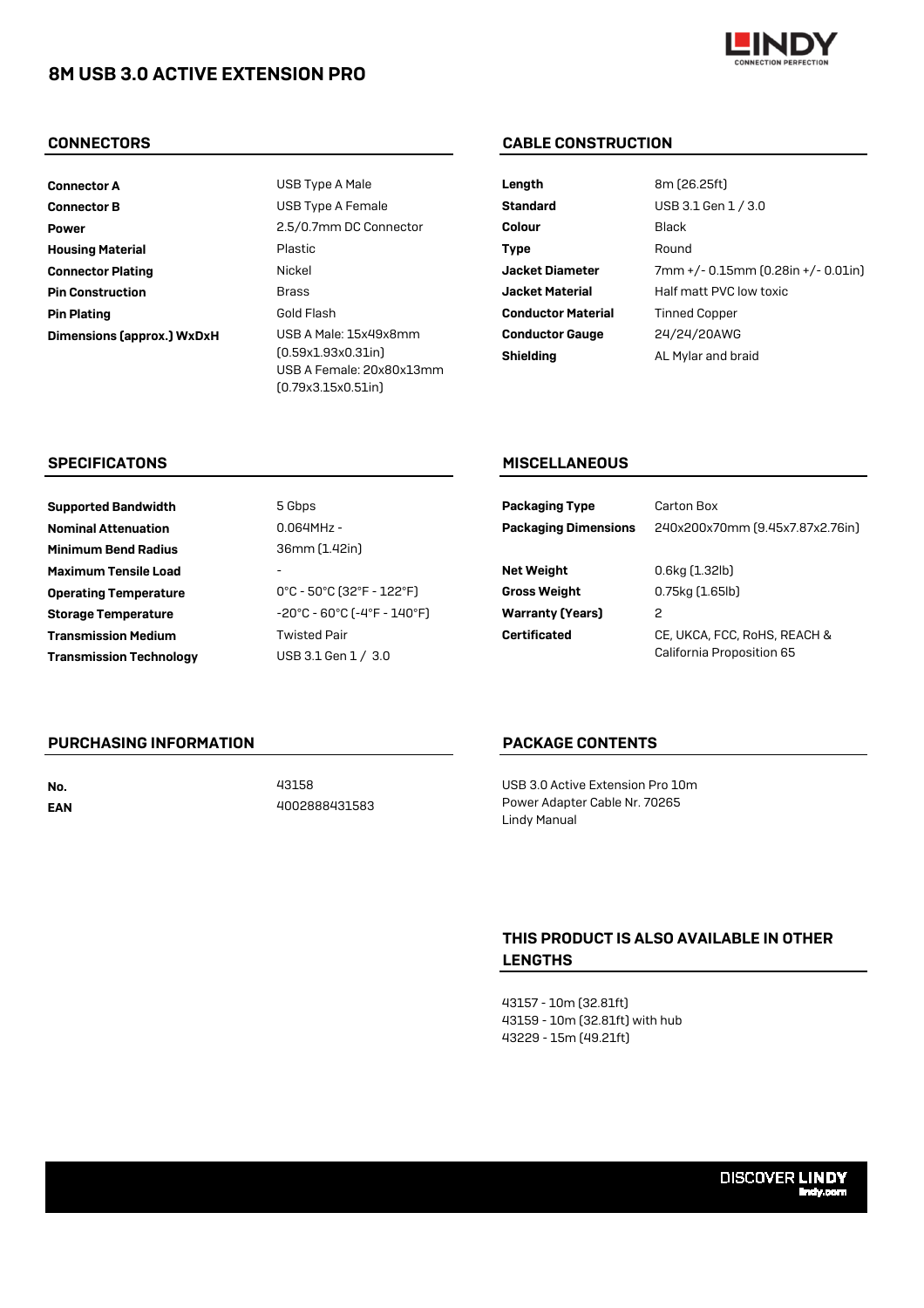# 8M USB 3.0 ACTIVE EXTENSION PRO



Pin Plating Dimensions (approx.) WxDxH Connector A Connector B Housing Material Connector Plating Pin Construction Power 2.5/0.7mm DC Connector

USB A Male: 15x49x8mm (0.59x1.93x0.31in) USB A Female: 20x80x13mm (0.79x3.15x0.51in) Gold Flash Brass USB Type A Female Plastic USB Type A Male Nickel

# CONNECTORS CABLE CONSTRUCTION

| Length                    | 8m (26.25ft)                       |
|---------------------------|------------------------------------|
| <b>Standard</b>           | USB 3.1 Gen 1 / 3.0                |
| Colour                    | Black                              |
| Type                      | Round                              |
| <b>Jacket Diameter</b>    | 7mm +/- 0.15mm (0.28in +/- 0.01in) |
| <b>Jacket Material</b>    | Half matt PVC low toxic            |
| <b>Conductor Material</b> | <b>Tinned Copper</b>               |
| <b>Conductor Gauge</b>    | 24/24/20AWG                        |
| <b>Shielding</b>          | AL Mylar and braid                 |

### SPECIFICATONS

| <b>Supported Bandwidth</b>     | 5 Gbps                                                                 | <b>Packaging Type</b>       | Carton Box                      |
|--------------------------------|------------------------------------------------------------------------|-----------------------------|---------------------------------|
| <b>Nominal Attenuation</b>     | $0.064$ MHz -                                                          | <b>Packaging Dimensions</b> | 240x200x70mm (9.45x7.87x2.76in) |
| <b>Minimum Bend Radius</b>     | 36mm (1.42in)                                                          |                             |                                 |
| <b>Maximum Tensile Load</b>    |                                                                        | <b>Net Weight</b>           | $0.6$ kg $(1.32$ lb $)$         |
| <b>Operating Temperature</b>   | $0^{\circ}$ C - 50 $^{\circ}$ C (32 $^{\circ}$ F - 122 $^{\circ}$ F)   | <b>Gross Weight</b>         | $0.75$ kg $(1.65$ lb $)$        |
| <b>Storage Temperature</b>     | $-20^{\circ}$ C - 60 $^{\circ}$ C (-4 $^{\circ}$ F - 140 $^{\circ}$ F) | <b>Warranty (Years)</b>     | 2                               |
| <b>Transmission Medium</b>     | <b>Twisted Pair</b>                                                    | <b>Certificated</b>         | CE, UKCA, FCC, RoHS, REACH &    |
| <b>Transmission Technology</b> | USB 3.1 Gen 1 / 3.0                                                    |                             | California Proposition 65       |
|                                |                                                                        |                             |                                 |

### PURCHASING INFORMATION

EAN

No. 43158 4002888431583

## PACKAGE CONTENTS

MISCELLANEOUS

USB 3.0 Active Extension Pro 10m Power Adapter Cable Nr. 70265 Lindy Manual

# THIS PRODUCT IS ALSO AVAILABLE IN OTHER LENGTHS

43157 - 10m (32.81ft) 43159 - 10m (32.81ft) with hub 43229 - 15m (49.21ft)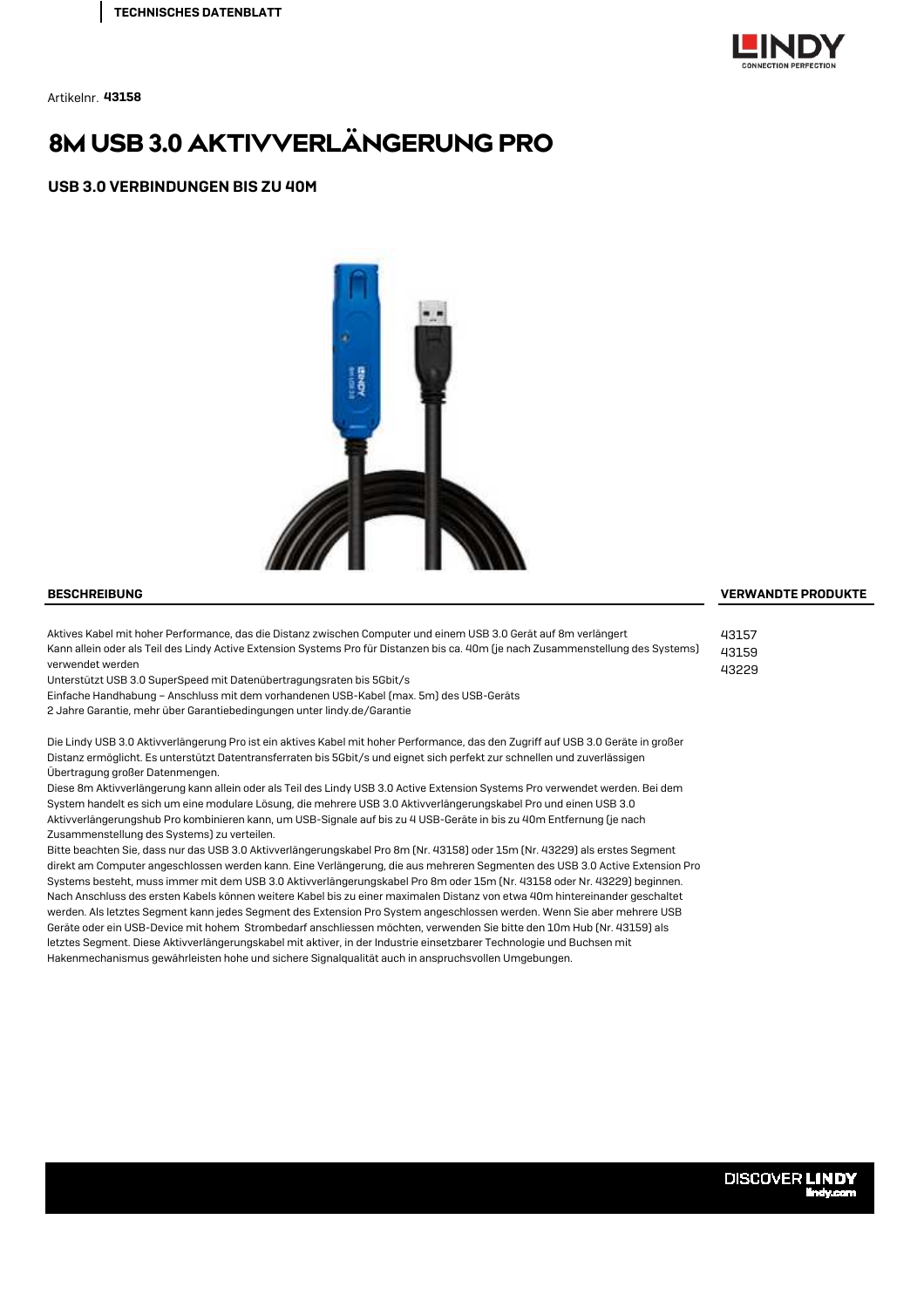

Artikelnr. 43158

# 8M USB 3.0 AKTIVVERLÄNGERUNG PRO

USB 3.0 VERBINDUNGEN BIS ZU 40M



Aktives Kabel mit hoher Performance, das die Distanz zwischen Computer und einem USB 3.0 Gerät auf 8m verlängert Kann allein oder als Teil des Lindy Active Extension Systems Pro für Distanzen bis ca. 40m (je nach Zusammenstellung des Systems) verwendet werden

Unterstützt USB 3.0 SuperSpeed mit Datenübertragungsraten bis 5Gbit/s

Einfache Handhabung – Anschluss mit dem vorhandenen USB-Kabel (max. 5m) des USB-Geräts

2 Jahre Garantie, mehr über Garantiebedingungen unter lindy.de/Garantie

Die Lindy USB 3.0 Aktivverlängerung Pro ist ein aktives Kabel mit hoher Performance, das den Zugriff auf USB 3.0 Geräte in großer Distanz ermöglicht. Es unterstützt Datentransferraten bis 5Gbit/s und eignet sich perfekt zur schnellen und zuverlässigen Übertragung großer Datenmengen.

Diese 8m Aktivverlängerung kann allein oder als Teil des Lindy USB 3.0 Active Extension Systems Pro verwendet werden. Bei dem System handelt es sich um eine modulare Lösung, die mehrere USB 3.0 Aktivverlängerungskabel Pro und einen USB 3.0 Aktivverlängerungshub Pro kombinieren kann, um USB-Signale auf bis zu 4 USB-Geräte in bis zu 40m Entfernung (je nach Zusammenstellung des Systems) zu verteilen.

Bitte beachten Sie, dass nur das USB 3.0 Aktivverlängerungskabel Pro 8m (Nr. 43158) oder 15m (Nr. 43229) als erstes Segment direkt am Computer angeschlossen werden kann. Eine Verlängerung, die aus mehreren Segmenten des USB 3.0 Active Extension Pro Systems besteht, muss immer mit dem USB 3.0 Aktivverlängerungskabel Pro 8m oder 15m (Nr. 43158 oder Nr. 43229) beginnen. Nach Anschluss des ersten Kabels können weitere Kabel bis zu einer maximalen Distanz von etwa 40m hintereinander geschaltet werden. Als letztes Segment kann jedes Segment des Extension Pro System angeschlossen werden. Wenn Sie aber mehrere USB Geräte oder ein USB-Device mit hohem Strombedarf anschliessen möchten, verwenden Sie bitte den 10m Hub (Nr. 43159) als letztes Segment. Diese Aktivverlängerungskabel mit aktiver, in der Industrie einsetzbarer Technologie und Buchsen mit Hakenmechanismus gewährleisten hohe und sichere Signalqualität auch in anspruchsvollen Umgebungen.

### BESCHREIBUNG VERWANDTE PRODUKTE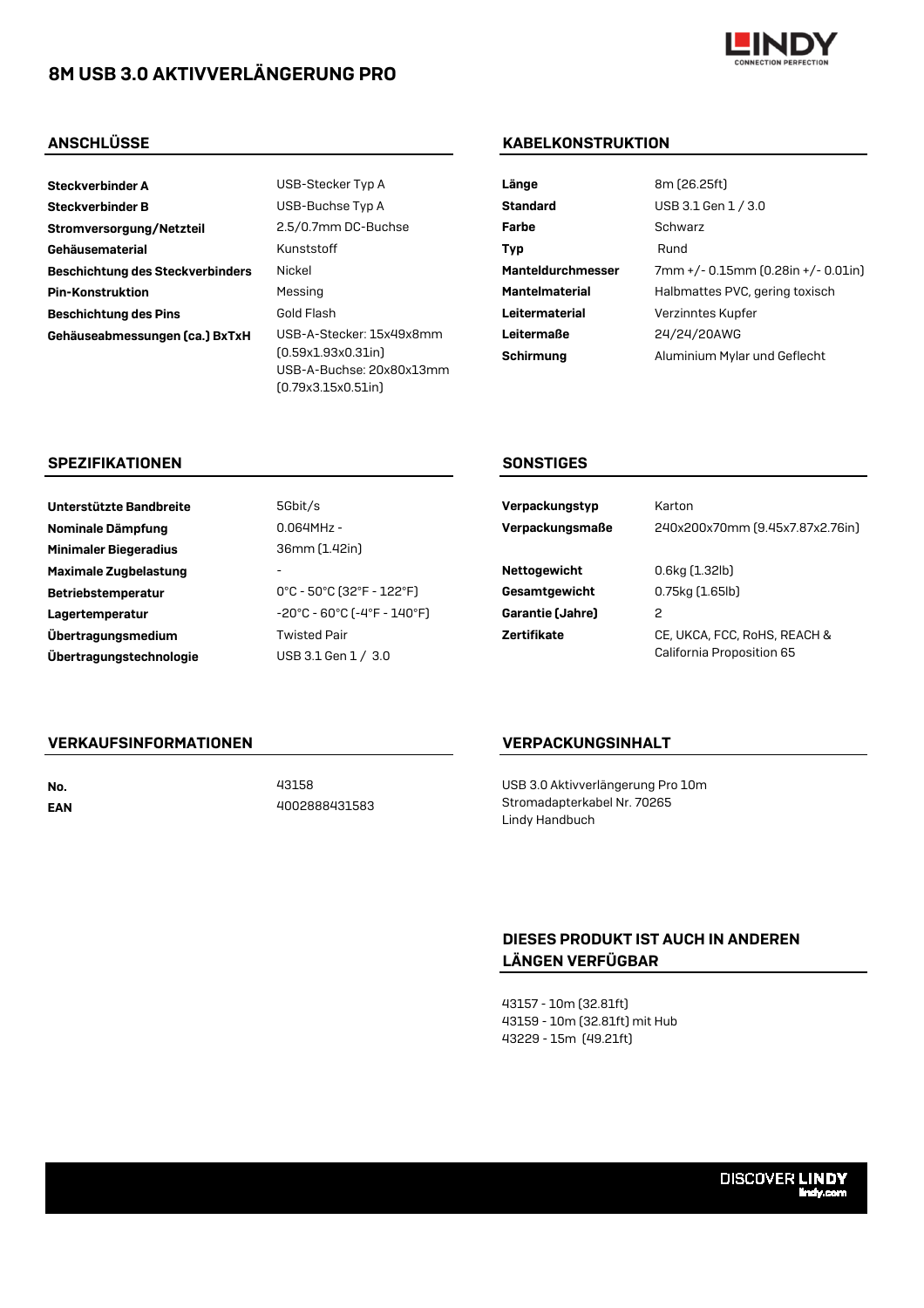# 8M USB 3.0 AKTIVVERLÄNGERUNG PRO



- Steckverbinder B Gustaff USB-Buchse Typ A Standard Management Standard Management Standard Management Standard Stromversorgung/Netzteil 2.5/0.7mm DC-Buchse Gehäusematerial Type Runststoff Beschichtung des Steckverbinders Nickel Pin-Konstruktion Messing Messing Manufactures Principles Principles Principles Principles Principles Principles Beschichtung des Pins Gold Flash Context Context Context Context Context Context Context Context Context Context Context Context Context Context Context Context Context Context Context Context Context Context Context Conte Gehäuseabmessungen (ca.) BxTxH USB-A-Stecker: 15x49x8mm
- Steckverbinder A USB-Stecker Typ A Länge 8m (26.25ft) (0.59x1.93x0.31in) USB-A-Buchse: 20x80x13mm (0.79x3.15x0.51in)

# ANSCHLÜSSE KABELKONSTRUKTION

| 8m (26.25ft)                       |
|------------------------------------|
| USB 3.1 Gen 1 / 3.0                |
| Schwarz                            |
| Rund                               |
| 7mm +/- 0.15mm (0.28in +/- 0.01in) |
| Halbmattes PVC, gering toxisch     |
| Verzinntes Kupfer                  |
| 24/24/20AWG                        |
| Aluminium Mylar und Geflecht       |
|                                    |

### SPEZIFIKATIONEN SONSTIGES

| Unterstützte Bandbreite      | 5Gbit/s                                                                | Verpackungstyp   | Karton                          |
|------------------------------|------------------------------------------------------------------------|------------------|---------------------------------|
| Nominale Dämpfung            | $0.064$ MHz -                                                          | Verpackungsmaße  | 240x200x70mm (9.45x7.87x2.76in) |
| <b>Minimaler Biegeradius</b> | 36mm (1.42in)                                                          |                  |                                 |
| Maximale Zugbelastung        |                                                                        | Nettogewicht     | $0.6$ kg $(1.32$ lb $)$         |
| <b>Betriebstemperatur</b>    | $0^{\circ}$ C - 50 $^{\circ}$ C (32 $^{\circ}$ F - 122 $^{\circ}$ F)   | Gesamtgewicht    | $0.75$ kg $(1.65$ lb $)$        |
| Lagertemperatur              | $-20^{\circ}$ C - 60 $^{\circ}$ C (-4 $^{\circ}$ F - 140 $^{\circ}$ F) | Garantie (Jahre) | 2                               |
| Übertragungsmedium           | <b>Twisted Pair</b>                                                    | Zertifikate      | CE, UKCA, FCC, RoHS, REACH &    |
| Übertragungstechnologie      | USB 3.1 Gen 1 / 3.0                                                    |                  | California Proposition 65       |
|                              |                                                                        |                  |                                 |

## VERKAUFSINFORMATIONEN

EAN

No. 43158 4002888431583

## VERPACKUNGSINHALT

USB 3.0 Aktivverlängerung Pro 10m Stromadapterkabel Nr. 70265 Lindy Handbuch

# DIESES PRODUKT IST AUCH IN ANDEREN LÄNGEN VERFÜGBAR

43157 - 10m (32.81ft) 43159 - 10m (32.81ft) mit Hub 43229 - 15m (49.21ft)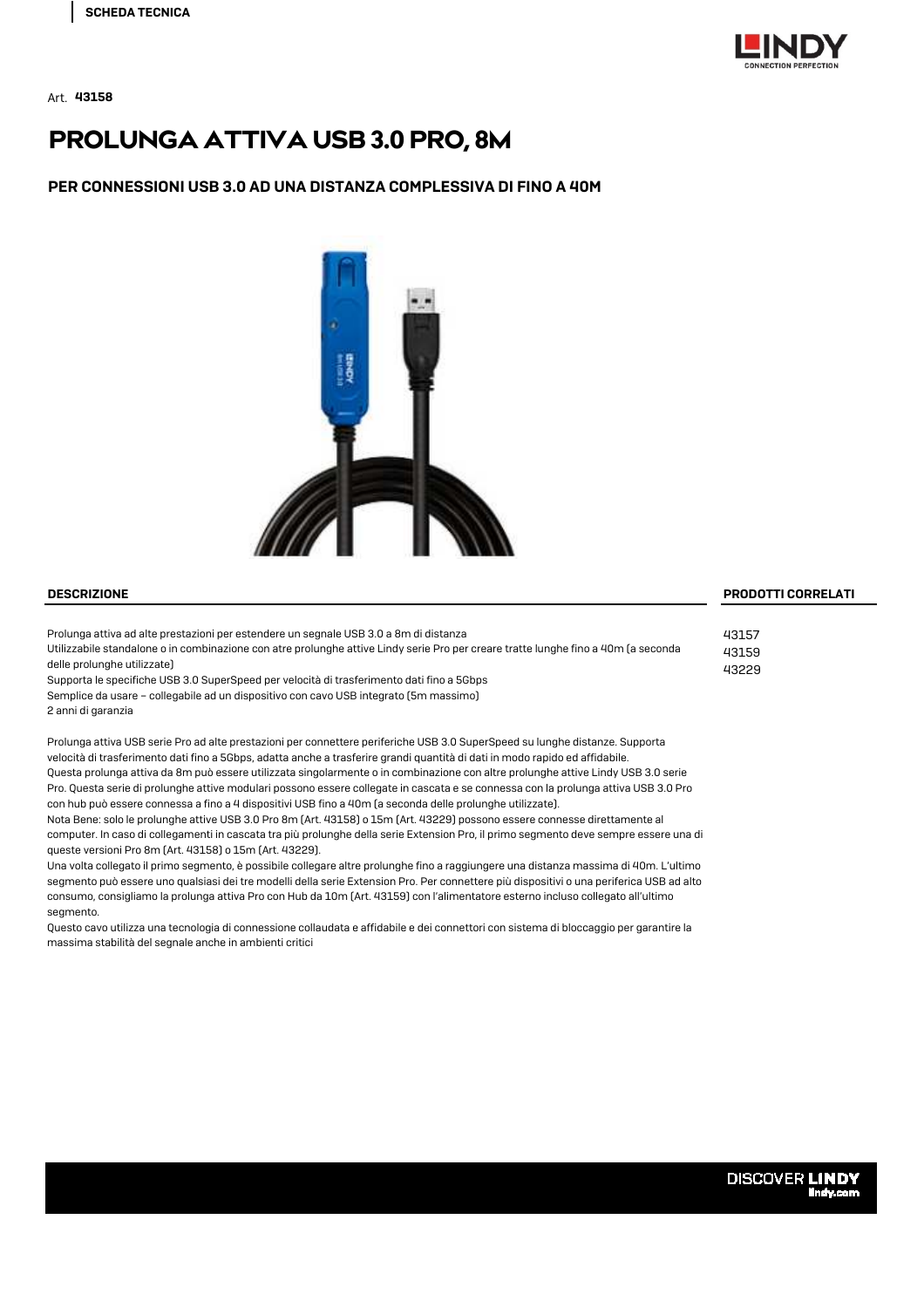

Art. **43158** 

# PROLUNGA ATTIVA USB 3.0 PRO, 8M

### PER CONNESSIONI USB 3.0 AD UNA DISTANZA COMPLESSIVA DI FINO A 40M



Prolunga attiva ad alte prestazioni per estendere un segnale USB 3.0 a 8m di distanza Utilizzabile standalone o in combinazione con atre prolunghe attive Lindy serie Pro per creare tratte lunghe fino a 40m (a seconda

delle prolunghe utilizzate) Supporta le specifiche USB 3.0 SuperSpeed per velocità di trasferimento dati fino a 5Gbps Semplice da usare – collegabile ad un dispositivo con cavo USB integrato (5m massimo)

2 anni di garanzia

Prolunga attiva USB serie Pro ad alte prestazioni per connettere periferiche USB 3.0 SuperSpeed su lunghe distanze. Supporta velocità di trasferimento dati fino a 5Gbps, adatta anche a trasferire grandi quantità di dati in modo rapido ed affidabile. Questa prolunga attiva da 8m può essere utilizzata singolarmente o in combinazione con altre prolunghe attive Lindy USB 3.0 serie Pro. Questa serie di prolunghe attive modulari possono essere collegate in cascata e se connessa con la prolunga attiva USB 3.0 Pro con hub può essere connessa a fino a 4 dispositivi USB fino a 40m (a seconda delle prolunghe utilizzate).

Nota Bene: solo le prolunghe attive USB 3.0 Pro 8m (Art. 43158) o 15m (Art. 43229) possono essere connesse direttamente al computer. In caso di collegamenti in cascata tra più prolunghe della serie Extension Pro, il primo segmento deve sempre essere una di queste versioni Pro 8m (Art. 43158) o 15m (Art. 43229).

Una volta collegato il primo segmento, è possibile collegare altre prolunghe fino a raggiungere una distanza massima di 40m. L'ultimo segmento può essere uno qualsiasi dei tre modelli della serie Extension Pro. Per connettere più dispositivi o una periferica USB ad alto consumo, consigliamo la prolunga attiva Pro con Hub da 10m (Art. 43159) con l'alimentatore esterno incluso collegato all'ultimo segmento.

Questo cavo utilizza una tecnologia di connessione collaudata e affidabile e dei connettori con sistema di bloccaggio per garantire la massima stabilità del segnale anche in ambienti critici

### DESCRIZIONE PRODOTTI CORRELATI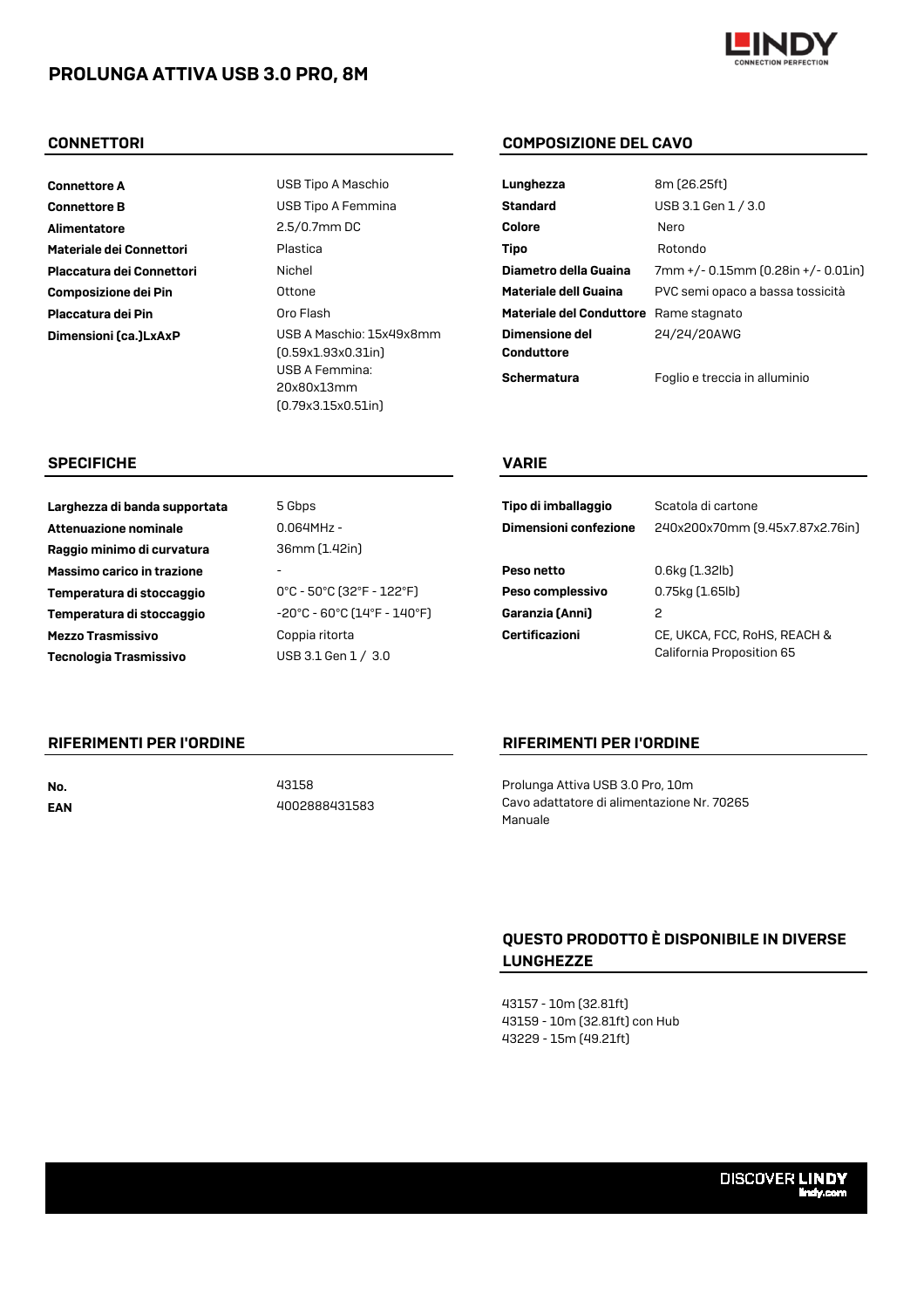# PROLUNGA ATTIVA USB 3.0 PRO, 8M



Connettore B USB Tipo A Femmina Alimentatore 2.5/0.7mm DC Materiale dei Connettori **Plastica** Placcatura dei Connettori Nichel Composizione dei Pin **Composizione del Guaina Politica e Antica** Placcatura dei Pin **Materiale del Conduttore del Conduttore Rame Stagnatore Rame Stagnatore Rame Stagnatore Rame** 

**Connettore A** USB Tipo A Maschio Dimensioni (ca.)LxAxP USB A Maschio: 15x49x8mm (0.59x1.93x0.31in) USB A Femmina: 20x80x13mm (0.79x3.15x0.51in)

### CONNETTORI COMPOSIZIONE DEL CAVO

| Lunghezza                              | 8m (26.25ft)                       |
|----------------------------------------|------------------------------------|
| Standard                               | USB 3.1 Gen 1 / 3.0                |
| Colore                                 | Nero                               |
| Tipo                                   | Rotondo                            |
| Diametro della Guaina                  | 7mm +/- 0.15mm (0.28in +/- 0.01in) |
| Materiale dell Guaina                  | PVC semi opaco a bassa tossicità   |
| Materiale del Conduttore Rame stagnato |                                    |
| <b>Dimensione del</b>                  | 24/24/20AWG                        |
| Conduttore                             |                                    |
| Schermatura                            | Foglio e treccia in alluminio      |

### SPECIFICHE VARIE

| Tipo di imballaggio<br>Dimensioni confezione | Scatola di cartone<br>240x200x70mm (9.45x7.87x2.76in)     |
|----------------------------------------------|-----------------------------------------------------------|
| Peso netto                                   | 0.6kg (1.32lb)                                            |
| Peso complessivo                             | 0.75kg (1.65lb)                                           |
| Garanzia (Anni)                              | 2                                                         |
| Certificazioni                               | CE, UKCA, FCC, RoHS, REACH &<br>California Proposition 65 |

Attenuazione nominale

EAN

Massimo carico in trazione - Temperatura di stoccaggio 0°C - 50°C (32°F - 122°F) Temperatura di stoccaggio  $-20^{\circ}$ C - 60°C (14°F - 140°F) Mezzo Trasmissivo **Coppia** ritorta Tecnologia Trasmissivo USB 3.1 Gen 1 / 3.0 Raggio minimo di curvatura

No. 43158

RIFERIMENTI PER I'ORDINE

0.064MHz - 36mm (1.42in) Larghezza di banda supportata 5 Gbps

4002888431583

### RIFERIMENTI PER I'ORDINE

Prolunga Attiva USB 3.0 Pro, 10m Cavo adattatore di alimentazione Nr. 70265 Manuale

# QUESTO PRODOTTO È DISPONIBILE IN DIVERSE LUNGHEZZE

43157 - 10m (32.81ft) 43159 - 10m (32.81ft) con Hub 43229 - 15m (49.21ft)

**DISCOVER LINDY**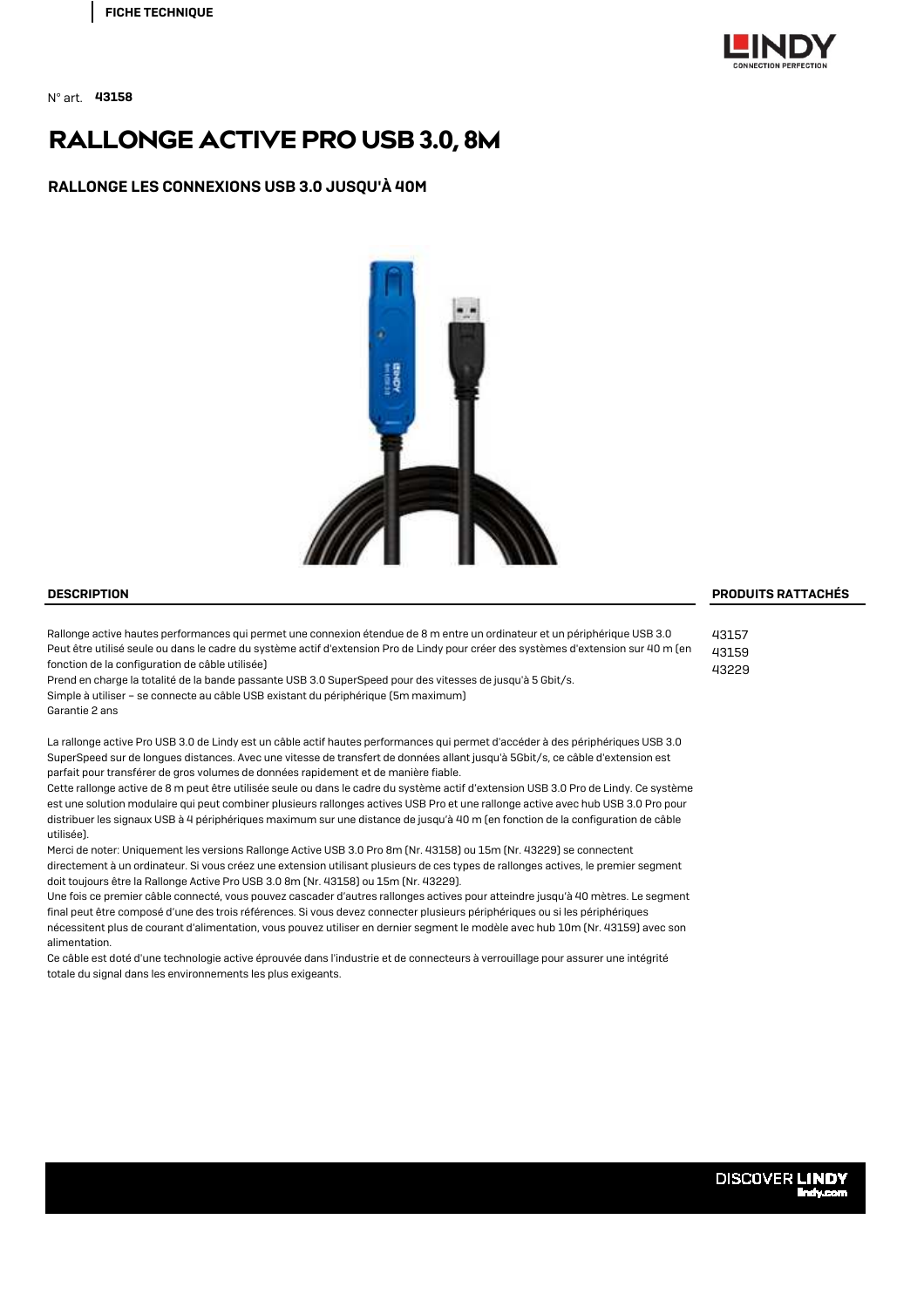

N° art. 43158

# RALLONGE ACTIVE PRO USB 3.0, 8M

RALLONGE LES CONNEXIONS USB 3.0 JUSQU'À 40M



Rallonge active hautes performances qui permet une connexion étendue de 8 m entre un ordinateur et un périphérique USB 3.0 Peut être utilisé seule ou dans le cadre du système actif d'extension Pro de Lindy pour créer des systèmes d'extension sur 40 m (en fonction de la configuration de câble utilisée)

Prend en charge la totalité de la bande passante USB 3.0 SuperSpeed pour des vitesses de jusqu'à 5 Gbit/s. Simple à utiliser – se connecte au câble USB existant du périphérique (5m maximum) Garantie 2 ans

La rallonge active Pro USB 3.0 de Lindy est un câble actif hautes performances qui permet d'accéder à des périphériques USB 3.0 SuperSpeed sur de longues distances. Avec une vitesse de transfert de données allant jusqu'à 5Gbit/s, ce câble d'extension est parfait pour transférer de gros volumes de données rapidement et de manière fiable.

Cette rallonge active de 8 m peut être utilisée seule ou dans le cadre du système actif d'extension USB 3.0 Pro de Lindy. Ce système est une solution modulaire qui peut combiner plusieurs rallonges actives USB Pro et une rallonge active avec hub USB 3.0 Pro pour distribuer les signaux USB à 4 périphériques maximum sur une distance de jusqu'à 40 m (en fonction de la configuration de câble utilisée).

Merci de noter: Uniquement les versions Rallonge Active USB 3.0 Pro 8m (Nr. 43158) ou 15m (Nr. 43229) se connectent directement à un ordinateur. Si vous créez une extension utilisant plusieurs de ces types de rallonges actives, le premier segment doit toujours être la Rallonge Active Pro USB 3.0 8m (Nr. 43158) ou 15m (Nr. 43229).

Une fois ce premier câble connecté, vous pouvez cascader d'autres rallonges actives pour atteindre jusqu'à 40 mètres. Le segment final peut être composé d'une des trois références. Si vous devez connecter plusieurs périphériques ou si les périphériques nécessitent plus de courant d'alimentation, vous pouvez utiliser en dernier segment le modèle avec hub 10m (Nr. 43159) avec son alimentation.

Ce câble est doté d'une technologie active éprouvée dans l'industrie et de connecteurs à verrouillage pour assurer une intégrité totale du signal dans les environnements les plus exigeants.

### DESCRIPTION PRODUITS RATTACHÉS